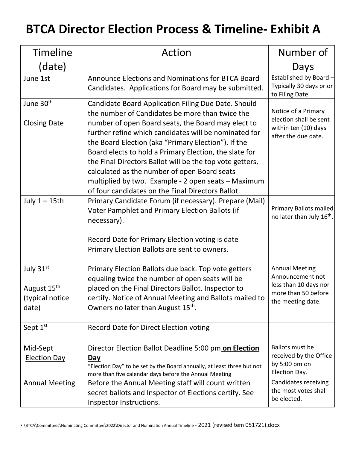## **BTCA Director Election Process & Timeline- Exhibit A**

| <b>Timeline</b>                                                  | Action                                                                                                                                                                                                                                                                                                                                                                                                                                                                                                                                                         | Number of                                                                                                      |
|------------------------------------------------------------------|----------------------------------------------------------------------------------------------------------------------------------------------------------------------------------------------------------------------------------------------------------------------------------------------------------------------------------------------------------------------------------------------------------------------------------------------------------------------------------------------------------------------------------------------------------------|----------------------------------------------------------------------------------------------------------------|
| (date)                                                           |                                                                                                                                                                                                                                                                                                                                                                                                                                                                                                                                                                | Days                                                                                                           |
| June 1st                                                         | Announce Elections and Nominations for BTCA Board<br>Candidates. Applications for Board may be submitted.                                                                                                                                                                                                                                                                                                                                                                                                                                                      | Established by Board -<br>Typically 30 days prior<br>to Filing Date.                                           |
| June 30 <sup>th</sup><br><b>Closing Date</b>                     | Candidate Board Application Filing Due Date. Should<br>the number of Candidates be more than twice the<br>number of open Board seats, the Board may elect to<br>further refine which candidates will be nominated for<br>the Board Election (aka "Primary Election"). If the<br>Board elects to hold a Primary Election, the slate for<br>the Final Directors Ballot will be the top vote getters,<br>calculated as the number of open Board seats<br>multiplied by two. Example - 2 open seats - Maximum<br>of four candidates on the Final Directors Ballot. | Notice of a Primary<br>election shall be sent<br>within ten (10) days<br>after the due date.                   |
| July $1 - 15$ th                                                 | Primary Candidate Forum (if necessary). Prepare (Mail)<br>Voter Pamphlet and Primary Election Ballots (if<br>necessary).<br>Record Date for Primary Election voting is date<br>Primary Election Ballots are sent to owners.                                                                                                                                                                                                                                                                                                                                    | Primary Ballots mailed<br>no later than July 16 <sup>th</sup> .                                                |
| July 31st<br>August 15 <sup>th</sup><br>(typical notice<br>date) | Primary Election Ballots due back. Top vote getters<br>equaling twice the number of open seats will be<br>placed on the Final Directors Ballot. Inspector to<br>certify. Notice of Annual Meeting and Ballots mailed to<br>Owners no later than August 15 <sup>th</sup> .                                                                                                                                                                                                                                                                                      | <b>Annual Meeting</b><br>Announcement not<br>less than 10 days nor<br>more than 50 before<br>the meeting date. |
| Sept 1st                                                         | Record Date for Direct Election voting                                                                                                                                                                                                                                                                                                                                                                                                                                                                                                                         |                                                                                                                |
| Mid-Sept<br><b>Election Day</b>                                  | Director Election Ballot Deadline 5:00 pm on Election<br>Day<br>"Election Day" to be set by the Board annually, at least three but not<br>more than five calendar days before the Annual Meeting                                                                                                                                                                                                                                                                                                                                                               | Ballots must be<br>received by the Office<br>by 5:00 pm on<br>Election Day.                                    |
| <b>Annual Meeting</b>                                            | Before the Annual Meeting staff will count written<br>secret ballots and Inspector of Elections certify. See<br>Inspector Instructions.                                                                                                                                                                                                                                                                                                                                                                                                                        | Candidates receiving<br>the most votes shall<br>be elected.                                                    |